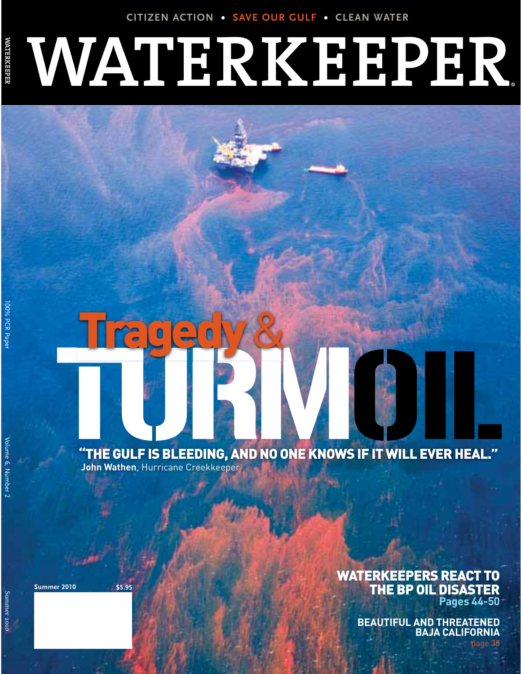**CITIZEN ACTION t SAVE OUR GULF t CLEAN WATER**

# **WATERKEEPER** ®

# THE GULF IS BLEEDING, AND NO ONE KNOWS IF IT WILL EVER HEAL."

Tragedy & Company

**John Wathen**, Hurricane Creekkeeper

**Summer 2010 \$5.95**

## WATERKEEPERS REACT TO THE BP OIL DISASTER **Pages 44-50**

**BEAUTIFUL AND THREATENED BAJA CALIFORNIA**

-

page 30

**WATER SERVER** 

Summer Summer 2010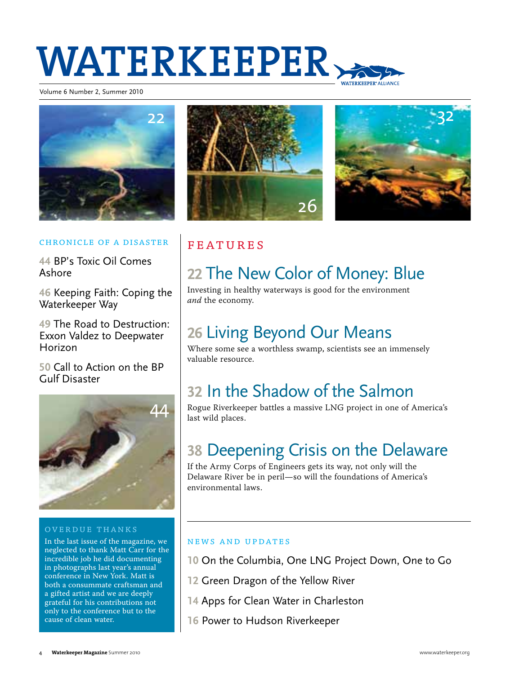# **WATERKEEPER**

Volume 6 Number 2, Summer 2010







#### Chronicle of a Disaster

**44** BP's Toxic Oil Comes Ashore

**46** Keeping Faith: Coping the Waterkeeper Way

**49** The Road to Destruction: Exxon Valdez to Deepwater Horizon

**50** Call to Action on the BP Gulf Disaster



#### Overdue Thanks

In the last issue of the magazine, we neglected to thank Matt Carr for the incredible job he did documenting in photographs last year's annual conference in New York. Matt is both a consummate craftsman and a gifted artist and we are deeply grateful for his contributions not only to the conference but to the cause of clean water.

# Features

# **22** The New Color of Money: Blue

Investing in healthy waterways is good for the environment and the economy.

# **26** Living Beyond Our Means

Where some see a worthless swamp, scientists see an immensely valuable resource.

# **32** In the Shadow of the Salmon

Rogue Riverkeeper battles a massive LNG project in one of America's last wild places.

# **38** Deepening Crisis on the Delaware

If the Army Corps of Engineers gets its way, not only will the Delaware River be in peril—so will the foundations of America's environmental laws.

### news and updates

- **10** On the Columbia, One LNG Project Down, One to Go
- **12** Green Dragon of the Yellow River
- **14** Apps for Clean Water in Charleston
- **16** Power to Hudson Riverkeeper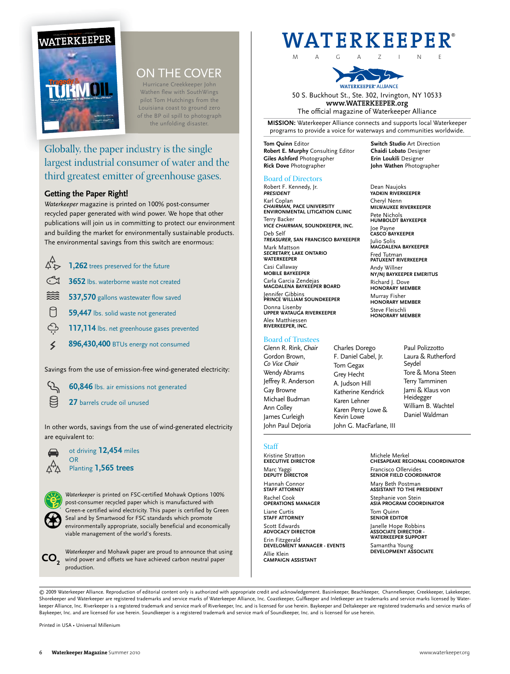

## ON THE COVER

Hurricane Creekkeeper John Wathen flew with SouthWings pilot Tom Hutchings from the Louisiana coast to ground zero of the BP oil spill to photograph the unfolding disaster.

## Globally, the paper industry is the single largest industrial consumer of water and the third greatest emitter of greenhouse gases.

#### **Getting the Paper Right!**

*Waterkeeper* magazine is printed on 100% post-consumer recycled paper generated with wind power. We hope that other publications will join us in committing to protect our environment and building the market for environmentally sustainable products. The environmental savings from this switch are enormous:

|              | $\overleftrightarrow{C}$ 1,262 trees preserved for the future |
|--------------|---------------------------------------------------------------|
| $\mathbb{C}$ | 3652 lbs. waterborne waste not created                        |
| 缀            | 537,570 gallons wastewater flow saved                         |
| $\Box$       | 59,447 lbs. solid waste not generated                         |
| $\bigoplus$  | 117,114 lbs. net greenhouse gases prevented                   |
| $\leq$       | 896,430,400 BTUs energy not consumed                          |

Savings from the use of emission-free wind-generated electricity:

**60,846** lbs. air emissions not generated

**27** barrels crude oil unused

In other words, savings from the use of wind-generated electricity are equivalent to:



 $\mathcal{F}$ 目

 $\lambda$ 

ot driving **12,454** miles OR Planting **1,565 trees**

*Waterkeeper* is printed on FSC-certified Mohawk Options 100% post-consumer recycled paper which is manufactured with Green-e certified wind electricity. This paper is certified by Green Seal and by Smartwood for FSC standards which promote environmentally appropriate, socially beneficial and economically viable management of the world's forests.

EVELOMENT MANAGER - EVENTS Samantha Young<br>DEVELOMENT MANAGER - EVENTS DEVELOPMENT ASSOCIATE wind power and offsets we have achieved carbon neutral paper **CO2** production.

# ® **WATERKEEPER**

M A G A Z I N E



50 S. Buckhout St., Ste. 302, Irvington, NY 10533 **www.WATERKEEPER.org** The official magazine of Waterkeeper Alliance

**MISSION:** Waterkeeper Alliance connects and supports local Waterkeeper programs to provide a voice for waterways and communities worldwide.

**Tom Quinn Editor <b>Switch Studio** Art Direction<br> **Robert E. Murphy** Consulting Editor **Chaidi Lobato** Designer **Robert E. Murphy** Consulting Editor **Chaidi Lobato** Designer **Giles Ashford** Photographer **Rick Dove** Photographer **John Wathen** Photographer

#### Board of Directors

Robert F. Kennedy, Jr. *PRESIDENT* Karl Coplan *CHAIRMAN,* **PACE UNIVERSITY ENVIRONMENTAL LITIGATION CLINIC** Terry Backer *VICE CHAIRMAN***, SOUNDKEEPER, INC.** Deb Self *TREASURER***, SAN FRANCISCO BAYKEEPER** Mark Mattson *SECRETARY,* **LAKE ONTARIO WATERKEEPER**  Casi Callaway **MOBILE BAYKEEPER** Carla Garcia Zendejas **MAGDALENA BAYKEEPER BOARD** Jennifer Gibbins **PRINCE WILLIAM SOUNDKEEPER** Donna Lisenby **UPPER WATAUGA RIVERKEEPER** Alex Matthiessen **RIVERKEEPER, INC.**

#### Board of Trustees

Glenn R. Rink, *Chair* Gordon Brown, *Co Vice Chair* Wendy Abrams Jeffrey R. Anderson Gay Browne Michael Budman Ann Colley James Curleigh John Paul DeJoria

Charles Dorego F. Daniel Gabel, Jr. Tom Gegax Grey Hecht A. Judson Hill Katherine Kendrick Karen Lehner Karen Percy Lowe & Kevin Lowe John G. MacFarlane, III

Dean Naujoks

**YADKIN RIVERKEEPER** Cheryl Nenn **MILWAUKEE RIVERKEEPER** Pete Nichols **HUMBOLDT BAYKEEPER** Joe Payne **CASCO BAYKEEPER** Julio Solis **MAGDALENA BAYKEEPER** Fred Tutman **PATUXENT RIVERKEEPER** Andy Willner **NY/NJ BAYKEEPER EMERITUS** Richard J. Dove **HONORARY MEMBER**

Murray Fisher **HONORARY MEMBER** Steve Fleischli **HONORARY MEMBER**

> Paul Polizzotto Laura & Rutherford Seydel Tore & Mona Steen Terry Tamminen Jami & Klaus von Heidegger William B. Wachtel Daniel Waldman

#### **Staff**

Kristine Stratton **EXECUTIVE DIRECTOR**  Marc Yaggi **DEPUTY DIRECTOR**  Hannah Connor **STAFF ATTORNEY** Rachel Cook **OPERATIONS MANAGER** Liane Curtis **STAFF ATTORNEY** Scott Edwards **ADVOCACY DIRECTOR** Erin Fitzgerald **DEVELOMENT MANAGER - EVENTS** Allie Klein **CAMPAIGN ASSISTANT**

Michele Merkel **CHESAPEAKE REGIONAL COORDINATOR** Francisco Ollervides **SENIOR FIELD COORDINATOR** Mary Beth Postman **ASSISTANT TO THE PRESIDENT** Stephanie von Stein **ASIA PROGRAM COORDINATOR** Tom Quinn **SENIOR EDITOR**

Janelle Hope Robbins **ASSOCIATE DIRECTOR - WATERKEEPER SUPPORT**

© 2009 Waterkeeper Alliance. Reproduction of editorial content only is authorized with appropriate credit and acknowledgement. Basinkeeper, Beachkeeper, Channelkeeper, Creekkeeper, Lakekeeper, Shorekeeper and Waterkeeper are registered trademarks and service marks of Waterkeeper Alliance, Inc. Coastkeeper, Gulfkeeper and Inletkeeper are trademarks and service marks licensed by Waterkeeper Alliance, Inc. Riverkeeper is a registered trademark and service mark of Riverkeeper, Inc. and is licensed for use herein. Baykeeper and Deltakeeper are registered trademarks and service marks of Baykeeper, Inc. and are licensed for use herein. Soundkeeper is a registered trademark and service mark of Soundkeeper, Inc. and is licensed for use herein.

Printed in USA . Universal Millenium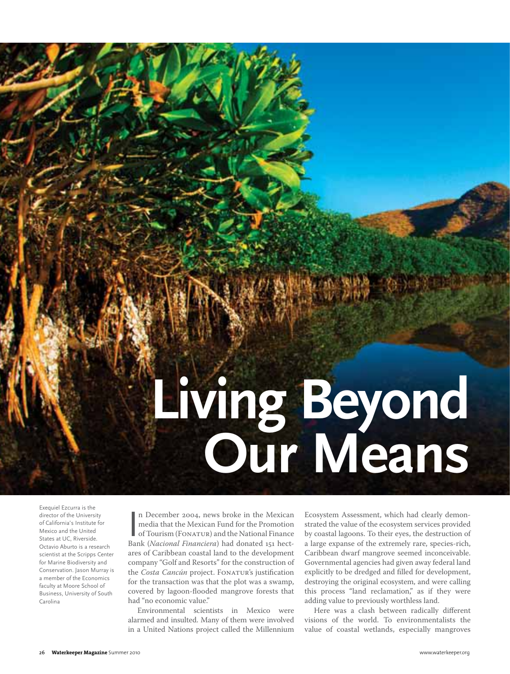# **Living Beyond Our Means**

Exequiel Ezcurra is the director of the University of California's Institute for Mexico and the United States at UC, Riverside. Octavio Aburto is a research scientist at the Scripps Center for Marine Biodiversity and Conservation. Jason Murray is a member of the Economics faculty at Moore School of Business, University of South Carolina

n December 2004, news broke in the Mexican media that the Mexican Fund for the Promotion of Tourism (FONATUR) and the National Finance Bank (*Nacional Financiera*) had donated 151 hectn December 2004, news broke in the Mexican media that the Mexican Fund for the Promotion of Tourism (FONATUR) and the National Finance ares of Caribbean coastal land to the development company "Golf and Resorts" for the construction of the Costa Cancún project. FONATUR's justification for the transaction was that the plot was a swamp, covered by lagoon-flooded mangrove forests that had "no economic value."

Environmental scientists in Mexico were alarmed and insulted. Many of them were involved in a United Nations project called the Millennium Ecosystem Assessment, which had clearly demonstrated the value of the ecosystem services provided by coastal lagoons. To their eyes, the destruction of a large expanse of the extremely rare, species-rich, Caribbean dwarf mangrove seemed inconceivable. Governmental agencies had given away federal land explicitly to be dredged and filled for development, destroying the original ecosystem, and were calling this process "land reclamation," as if they were adding value to previously worthless land.

Here was a clash between radically different visions of the world. To environmentalists the value of coastal wetlands, especially mangroves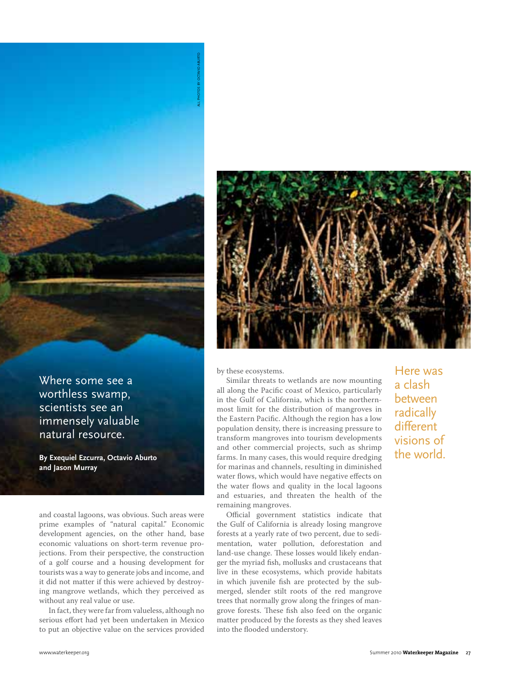

**By Exequiel Ezcurra, Octavio Aburto and Jason Murray**

and coastal lagoons, was obvious. Such areas were prime examples of "natural capital." Economic development agencies, on the other hand, base economic valuations on short-term revenue projections. From their perspective, the construction of a golf course and a housing development for tourists was a way to generate jobs and income, and it did not matter if this were achieved by destroying mangrove wetlands, which they perceived as without any real value or use. **Where some see a**<br> **worthless swamp,**<br> **scientists see an immensely valuable**<br> **natural resource.**<br> **By Exequiel Excura, Octavio Aburto**<br> **and Jason Murray**<br> **and Jason Murray**<br> **and Jason Murray**<br> **and Jason Murray**<br> **an** 

In fact, they were far from valueless, although no serious effort had yet been undertaken in Mexico<br>to put an objective value on the services provided



by these ecosystems.

Similar threats to wetlands are now mounting all along the Pacific coast of Mexico, particularly in the Gulf of California, which is the northernmost limit for the distribution of mangroves in the Eastern Pacific. Although the region has a low population density, there is increasing pressure to transform mangroves into tourism developments and other commercial projects, such as shrimp farms. In many cases, this would require dredging for marinas and channels, resulting in diminished water flows, which would have negative effects on the water flows and quality in the local lagoons and estuaries, and threaten the health of the remaining mangroves.

Official government statistics indicate that the Gulf of California is already losing mangrove forests at a yearly rate of two percent, due to sedimentation, water pollution, deforestation and land-use change. These losses would likely endanger the myriad fish, mollusks and crustaceans that live in these ecosystems, which provide habitats in which juvenile fish are protected by the submerged, slender stilt roots of the red mangrove trees that normally grow along the fringes of mangrove forests. These fish also feed on the organic matter produced by the forests as they shed leaves into the flooded understory.

Here was a clash between radically different visions of the world.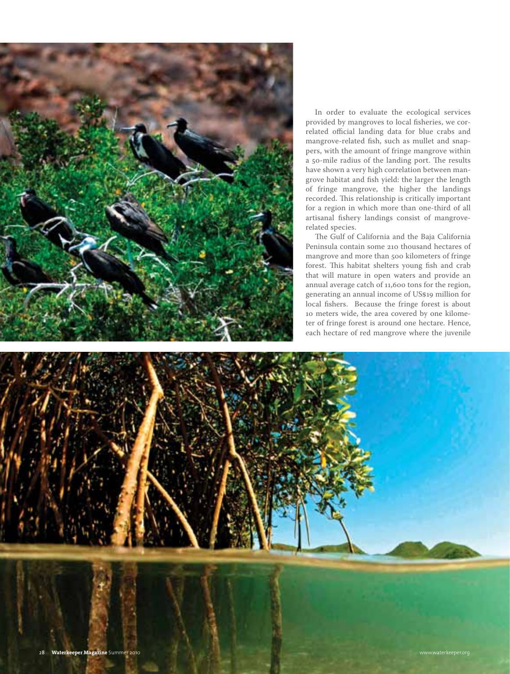

In order to evaluate the ecological services provided by mangroves to local fisheries, we correlated official landing data for blue crabs and mangrove-related fish, such as mullet and snappers, with the amount of fringe mangrove within a 50-mile radius of the landing port. The results have shown a very high correlation between mangrove habitat and fish yield: the larger the length of fringe mangrove, the higher the landings recorded. This relationship is critically important for a region in which more than one-third of all artisanal fishery landings consist of mangroverelated species.

The Gulf of California and the Baja California Peninsula contain some 210 thousand hectares of mangrove and more than 500 kilometers of fringe forest. This habitat shelters young fish and crab that will mature in open waters and provide an annual average catch of 11,600 tons for the region, generating an annual income of US\$19 million for local fishers. Because the fringe forest is about meters wide, the area covered by one kilometer of fringe forest is around one hectare. Hence, each hectare of red mangrove where the juvenile